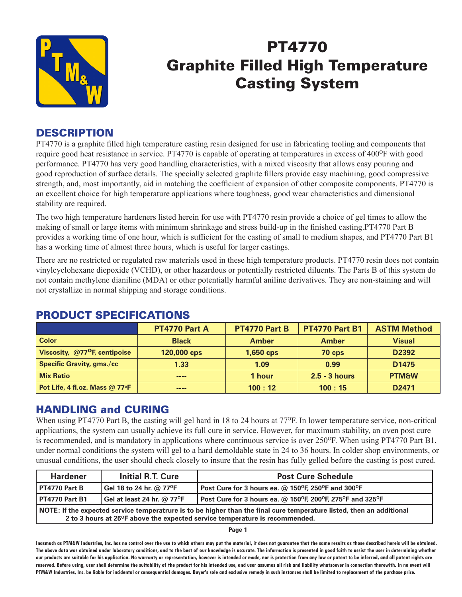

# PT4770 Graphite Filled High Temperature Casting System

#### **DESCRIPTION**

PT4770 is a graphite filled high temperature casting resin designed for use in fabricating tooling and components that require good heat resistance in service. PT4770 is capable of operating at temperatures in excess of 400<sup>o</sup>F with good performance. PT4770 has very good handling characteristics, with a mixed viscosity that allows easy pouring and good reproduction of surface details. The specially selected graphite fillers provide easy machining, good compressive strength, and, most importantly, aid in matching the coefficient of expansion of other composite components. PT4770 is an excellent choice for high temperature applications where toughness, good wear characteristics and dimensional stability are required.

The two high temperature hardeners listed herein for use with PT4770 resin provide a choice of gel times to allow the making of small or large items with minimum shrinkage and stress build-up in the finished casting.PT4770 Part B provides a working time of one hour, which is sufficient for the casting of small to medium shapes, and PT4770 Part B1 has a working time of almost three hours, which is useful for larger castings.

There are no restricted or regulated raw materials used in these high temperature products. PT4770 resin does not contain vinylcyclohexane diepoxide (VCHD), or other hazardous or potentially restricted diluents. The Parts B of this system do not contain methylene dianiline (MDA) or other potentially harmful aniline derivatives. They are non-staining and will not crystallize in normal shipping and storage conditions.

|                                           | PT4770 Part A | PT4770 Part B | <b>PT4770 Part B1</b> | <b>ASTM Method</b> |  |  |
|-------------------------------------------|---------------|---------------|-----------------------|--------------------|--|--|
| <b>Color</b>                              | <b>Black</b>  | <b>Amber</b>  | <b>Amber</b>          | <b>Visual</b>      |  |  |
| Viscosity, @77 <sup>o</sup> F, centipoise | 120,000 cps   | $1,650$ cps   | $70$ cps              | D2392              |  |  |
| <b>Specific Gravity, gms./cc</b>          | 1.33          | 1.09          | 0.99                  | D <sub>1475</sub>  |  |  |
| <b>Mix Ratio</b>                          | ----          | 1 hour        | $2.5 - 3$ hours       | <b>PTM&amp;W</b>   |  |  |
| Pot Life, 4 fl.oz. Mass @ 77°F            | ----          | 100:12        | 100:15                | D <sub>2471</sub>  |  |  |

# PRODUCT SPECIFICATIONS

# HANDLING and CURING

When using PT4770 Part B, the casting will gel hard in 18 to 24 hours at 77<sup>o</sup>F. In lower temperature service, non-critical applications, the system can usually achieve its full cure in service. However, for maximum stability, an oven post cure is recommended, and is mandatory in applications where continuous service is over 250°F. When using PT4770 Part B1, under normal conditions the system will gel to a hard demoldable state in 24 to 36 hours. In colder shop environments, or unusual conditions, the user should check closely to insure that the resin has fully gelled before the casting is post cured.

| <b>Hardener</b>                                                                                                                                                                                                   | <b>Initial R.T. Cure</b>     | <b>Post Cure Schedule</b>                                 |  |  |  |
|-------------------------------------------------------------------------------------------------------------------------------------------------------------------------------------------------------------------|------------------------------|-----------------------------------------------------------|--|--|--|
| PT4770 Part B                                                                                                                                                                                                     | Gel 18 to 24 hr. @ 77°F      | Post Cure for 3 hours ea. $@$ 150°F, 250°F and 300°F      |  |  |  |
| PT4770 Part B1                                                                                                                                                                                                    | Gel at least 24 hr. $@$ 77°F | Post Cure for 3 hours ea. @ 150°F, 200°F, 275°F and 325°F |  |  |  |
| NOTE: If the expected service temperatrure is to be higher than the final cure temperature listed, then an additional<br>2 to 3 hours at 25 <sup>o</sup> F above the expected service temperature is recommended. |                              |                                                           |  |  |  |

**Page 1**

**Inasmuch as PTM&W Industries, Inc. has no control over the use to which others may put the material, it does not guarantee that the same results as those described hereis will be obtained. The above data was obtained under laboratory conditions, and to the best of our knowledge is accurate. The information is presented in good faith to assist the user in determining whether our products are suitable for his application. No warranty or representation, however is intended or made, nor is protection from any law or patent to be inferred, and all patent rights are**  reserved. Before using, user shall determine the suitability of the product for his intended use, and user assumes all risk and liability whatsoever in connection therewith. In no event will **PTM&W Industries, Inc. be liable for incidental or consequential damages. Buyer's sole and exclusive remedy in such instances shall be limited to replacement of the purchase price.**